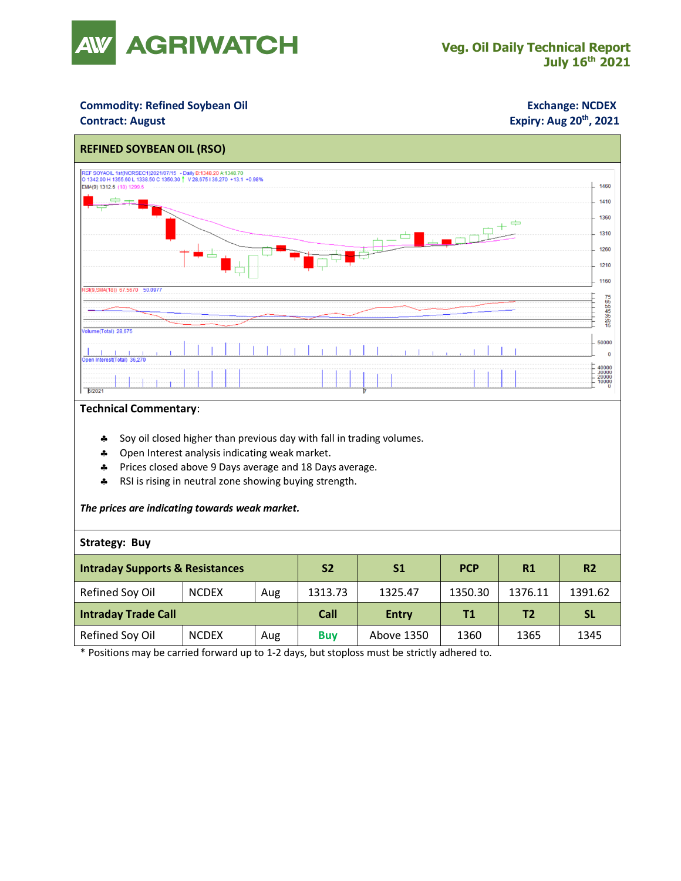

### **Commodity: Refined Soybean Oil <b>Exchange: NCDEX**

#### **Contract: August**

## **Expiry: Aug 20<sup>th</sup>, 2021**



#### **Technical Commentary**:

- \* Soy oil closed higher than previous day with fall in trading volumes.
- **4** Open Interest analysis indicating weak market.
- Prices closed above 9 Days average and 18 Days average.
- \* RSI is rising in neutral zone showing buying strength.

#### *The prices are indicating towards weak market.*

#### **Strategy: Buy**

| <b>Intraday Supports &amp; Resistances</b> |              |     | <b>S2</b>  | S <sub>1</sub> | <b>PCP</b> | R1             | <b>R2</b> |
|--------------------------------------------|--------------|-----|------------|----------------|------------|----------------|-----------|
| Refined Soy Oil                            | <b>NCDEX</b> | Aug | 1313.73    | 1325.47        | 1350.30    | 1376.11        | 1391.62   |
| <b>Intraday Trade Call</b>                 |              |     | Call       | <b>Entry</b>   | <b>T1</b>  | T <sub>2</sub> | <b>SL</b> |
| Refined Soy Oil                            | <b>NCDEX</b> | Aug | <b>Buy</b> | Above 1350     | 1360       | 1365           | 1345      |

\* Positions may be carried forward up to 1-2 days, but stoploss must be strictly adhered to.